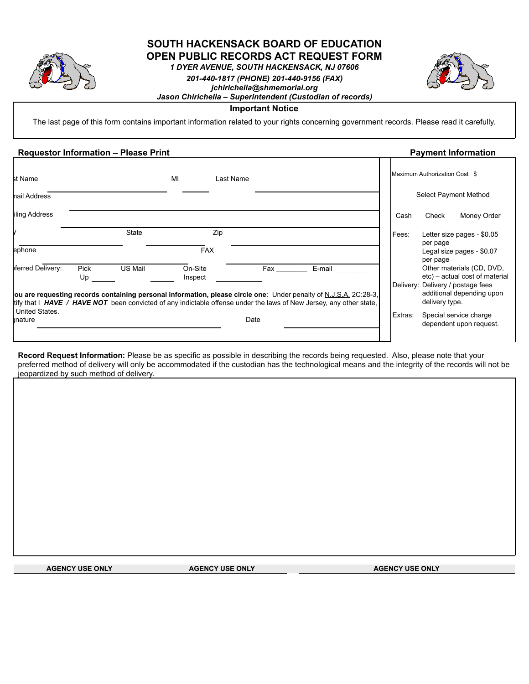

# **SOUTH HACKENSACK BOARD OF EDUCATION OPEN PUBLIC RECORDS ACT REQUEST FORM**

*1 DYER AVENUE, SOUTH HACKENSACK, NJ 07606*



#### *201-440-1817 (PHONE) 201-440-9156 (FAX) jchirichella@shmemorial.org Jason Chirichella – Superintendent (Custodian of records)*

### **Important Notice**

The last page of this form contains important information related to your rights concerning government records. Please read it carefully.

| <b>Requestor Information - Please Print</b> |            |              |                                                                                                                                                                                                                                                               |           |             |        | <b>Payment Information</b> |         |                               |                                                                                                                               |
|---------------------------------------------|------------|--------------|---------------------------------------------------------------------------------------------------------------------------------------------------------------------------------------------------------------------------------------------------------------|-----------|-------------|--------|----------------------------|---------|-------------------------------|-------------------------------------------------------------------------------------------------------------------------------|
| st Name<br>hail Address                     |            |              | MI                                                                                                                                                                                                                                                            | Last Name |             |        |                            |         | Maximum Authorization Cost \$ | Select Payment Method                                                                                                         |
| iling Address                               |            |              |                                                                                                                                                                                                                                                               |           |             |        |                            | Cash    | Check                         | Money Order                                                                                                                   |
|                                             |            | <b>State</b> |                                                                                                                                                                                                                                                               | Zip       |             |        |                            | Fees:   |                               | Letter size pages - \$0.05                                                                                                    |
| ephone                                      |            |              | <b>FAX</b>                                                                                                                                                                                                                                                    |           |             |        |                            |         | per page<br>per page          | Legal size pages - \$0.07                                                                                                     |
| ferred Delivery:                            | Pick<br>Up | US Mail      | On-Site<br>Inspect<br>ou are requesting records containing personal information, please circle one: Under penalty of N.J.S.A. 2C:28-3,<br>tify that I HAVE / HAVE NOT been convicted of any indictable offense under the laws of New Jersey, any other state, |           | Fax _______ | E-mail |                            |         | delivery type.                | Other materials (CD, DVD,<br>etc) – actual cost of material<br>Delivery: Delivery / postage fees<br>additional depending upon |
| <b>United States.</b><br>mature             |            |              |                                                                                                                                                                                                                                                               |           | Date        |        |                            | Extras: |                               | Special service charge<br>dependent upon request.                                                                             |

**Record Request Information:** Please be as specific as possible in describing the records being requested. Also, please note that your preferred method of delivery will only be accommodated if the custodian has the technological means and the integrity of the records will not be jeopardized by such method of delivery.

**AGENCY USE ONLY AGENCY USE ONLY AGENCY USE ONLY**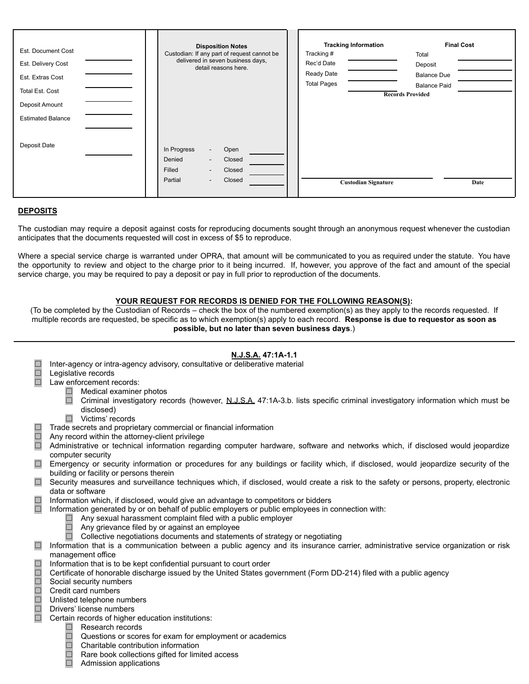| Est. Document Cost<br>Est. Delivery Cost<br>Est. Extras Cost<br>Total Est. Cost<br>Deposit Amount<br><b>Estimated Balance</b> | <b>Disposition Notes</b><br>Custodian: If any part of request cannot be<br>delivered in seven business days,<br>detail reasons here. | <b>Tracking Information</b><br>Tracking #<br>Rec'd Date<br>Ready Date<br><b>Total Pages</b> | <b>Final Cost</b><br>Total<br>Deposit<br><b>Balance Due</b><br><b>Balance Paid</b><br><b>Records Provided</b> |
|-------------------------------------------------------------------------------------------------------------------------------|--------------------------------------------------------------------------------------------------------------------------------------|---------------------------------------------------------------------------------------------|---------------------------------------------------------------------------------------------------------------|
| Deposit Date                                                                                                                  | In Progress<br>Open<br>$\sim$<br>Denied<br>Closed<br>$\sim$<br>Filled<br>Closed<br>$\sim$<br>Partial<br>Closed<br>$\sim$             | <b>Custodian Signature</b>                                                                  | Date                                                                                                          |

## **DEPOSITS**

The custodian may require a deposit against costs for reproducing documents sought through an anonymous request whenever the custodian anticipates that the documents requested will cost in excess of \$5 to reproduce.

Where a special service charge is warranted under OPRA, that amount will be communicated to you as required under the statute. You have the opportunity to review and object to the charge prior to it being incurred. If, however, you approve of the fact and amount of the special service charge, you may be required to pay a deposit or pay in full prior to reproduction of the documents.

#### **YOUR REQUEST FOR RECORDS IS DENIED FOR THE FOLLOWING REASON(S):**

(To be completed by the Custodian of Records – check the box of the numbered exemption(s) as they apply to the records requested. If multiple records are requested, be specific as to which exemption(s) apply to each record. **Response is due to requestor as soon as possible, but no later than seven business days**.)

### **N.J.S.A. 47:1A-1.1**

|        | Inter-agency or intra-agency advisory, consultative or deliberative material                                                          |
|--------|---------------------------------------------------------------------------------------------------------------------------------------|
| 000    | Legislative records                                                                                                                   |
|        | Law enforcement records:                                                                                                              |
|        | Medical examiner photos<br>$\Box$                                                                                                     |
|        | Criminal investigatory records (however, N.J.S.A. 47:1A-3.b. lists specific criminal investigatory information which must be          |
|        | disclosed)                                                                                                                            |
|        | $\Box$<br>Victims' records                                                                                                            |
|        | Trade secrets and proprietary commercial or financial information                                                                     |
| $\Box$ | Any record within the attorney-client privilege                                                                                       |
| $\Box$ | Administrative or technical information regarding computer hardware, software and networks which, if disclosed would jeopardize       |
|        | computer security                                                                                                                     |
| $\Box$ | Emergency or security information or procedures for any buildings or facility which, if disclosed, would jeopardize security of the   |
|        | building or facility or persons therein                                                                                               |
|        | Security measures and surveillance techniques which, if disclosed, would create a risk to the safety or persons, property, electronic |
|        | data or software                                                                                                                      |
| $\Box$ | Information which, if disclosed, would give an advantage to competitors or bidders                                                    |
|        | Information generated by or on behalf of public employers or public employees in connection with:                                     |
|        | Any sexual harassment complaint filed with a public employer<br>$\Box$                                                                |
|        | Any grievance filed by or against an employee                                                                                         |
|        | Collective negotiations documents and statements of strategy or negotiating                                                           |
|        | Information that is a communication between a public agency and its insurance carrier, administrative service organization or risk    |
|        | management office                                                                                                                     |
| $\Box$ | Information that is to be kept confidential pursuant to court order                                                                   |
| $\Box$ | Certificate of honorable discharge issued by the United States government (Form DD-214) filed with a public agency                    |
| 000    | Social security numbers                                                                                                               |
|        | Credit card numbers                                                                                                                   |
|        | Unlisted telephone numbers                                                                                                            |
| $\Box$ | Drivers' license numbers                                                                                                              |
| $\Box$ | Certain records of higher education institutions:                                                                                     |
|        | Research records                                                                                                                      |
|        | Questions or scores for exam for employment or academics                                                                              |
|        | Charitable contribution information                                                                                                   |
|        | Rare book collections gifted for limited access                                                                                       |

□ Admission applications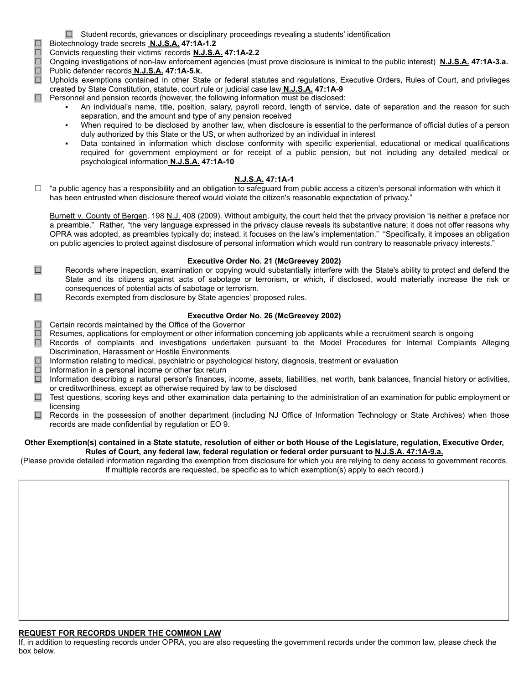- ☐ Student records, grievances or disciplinary proceedings revealing a students' identification
- 
- ☐ Convicts requesting their victims' records **N.J.S.A. 47:1A-2.2**
- **□ Biotechnology trade secrets <u>N.J.S.A.</u> 47:1A-1.2**<br>
 Convicts requesting their victims' records N.J.S.A<br>
 Ongoing investigations of non-law enforcement a<br>
□ Public defender records N.J.S.A. 47:1A-5.k.<br>
□ Upholds exemp ☐ Ongoing investigations of non-law enforcement agencies (must prove disclosure is inimical to the public interest) **N.J.S.A. 47:1A-3.a.** ☐ Public defender records **N.J.S.A. 47:1A-5.k.**

Upholds exemptions contained in other State or federal statutes and regulations, Executive Orders, Rules of Court, and privileges created by State Constitution, statute, court rule or judicial case law **N.J.S.A. 47:1A-9**

- $\Box$  Personnel and pension records (however, the following information must be disclosed:
	- An individual's name, title, position, salary, payroll record, length of service, date of separation and the reason for such separation, and the amount and type of any pension received
	- When required to be disclosed by another law, when disclosure is essential to the performance of official duties of a person duly authorized by this State or the US, or when authorized by an individual in interest
	- Data contained in information which disclose conformity with specific experiential, educational or medical qualifications required for government employment or for receipt of a public pension, but not including any detailed medical or psychological information **N.J.S.A. 47:1A-10**

### **N.J.S.A. 47:1A-1**

 $\Box$  "a public agency has a responsibility and an obligation to safeguard from public access a citizen's personal information with which it has been entrusted when disclosure thereof would violate the citizen's reasonable expectation of privacy."

Burnett v. County of Bergen, 198 N.J. 408 (2009). Without ambiguity, the court held that the privacy provision "is neither a preface nor a preamble." Rather, "the very language expressed in the privacy clause reveals its substantive nature; it does not offer reasons why OPRA was adopted, as preambles typically do; instead, it focuses on the law's implementation." "Specifically, it imposes an obligation on public agencies to protect against disclosure of personal information which would run contrary to reasonable privacy interests."

### **Executive Order No. 21 (McGreevey 2002)**

- ☐ Records where inspection, examination or copying would substantially interfere with the State's ability to protect and defend the State and its citizens against acts of sabotage or terrorism, or which, if disclosed, would materially increase the risk or consequences of potential acts of sabotage or terrorism.
- ☐ Records exempted from disclosure by State agencies' proposed rules.

### **Executive Order No. 26 (McGreevey 2002)**

- ☐ Certain records maintained by the Office of the Governor
- ☐ Resumes, applications for employment or other information concerning job applicants while a recruitment search is ongoing
- ☐ Records of complaints and investigations undertaken pursuant to the Model Procedures for Internal Complaints Alleging Discrimination, Harassment or Hostile Environments
- ☐ Information relating to medical, psychiatric or psychological history, diagnosis, treatment or evaluation
- □ Information in a personal income or other tax return
- ☐ Information describing a natural person's finances, income, assets, liabilities, net worth, bank balances, financial history or activities, or creditworthiness, except as otherwise required by law to be disclosed
- ☐ Test questions, scoring keys and other examination data pertaining to the administration of an examination for public employment or licensing
- ☐ Records in the possession of another department (including NJ Office of Information Technology or State Archives) when those records are made confidential by regulation or EO 9.

#### **Other Exemption(s) contained in a State statute, resolution of either or both House of the Legislature, regulation, Executive Order, Rules of Court, any federal law, federal regulation or federal order pursuant to N.J.S.A. 47:1A-9.a.**

(Please provide detailed information regarding the exemption from disclosure for which you are relying to deny access to government records. If multiple records are requested, be specific as to which exemption(s) apply to each record.)

### **REQUEST FOR RECORDS UNDER THE COMMON LAW**

If, in addition to requesting records under OPRA, you are also requesting the government records under the common law, please check the box below.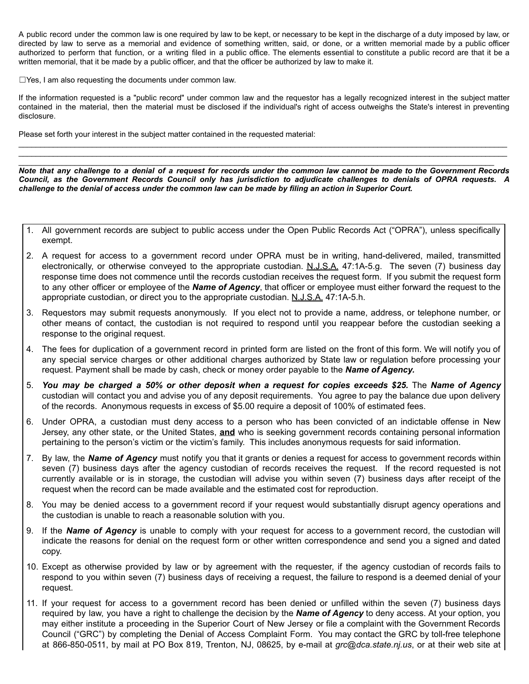A public record under the common law is one required by law to be kept, or necessary to be kept in the discharge of a duty imposed by law, or directed by law to serve as a memorial and evidence of something written, said, or done, or a written memorial made by a public officer authorized to perform that function, or a writing filed in a public office. The elements essential to constitute a public record are that it be a written memorial, that it be made by a public officer, and that the officer be authorized by law to make it.

☐Yes, I am also requesting the documents under common law.

If the information requested is a "public record" under common law and the requestor has a legally recognized interest in the subject matter contained in the material, then the material must be disclosed if the individual's right of access outweighs the State's interest in preventing disclosure.

 $\_$  , and the state of the state of the state of the state of the state of the state of the state of the state of the state of the state of the state of the state of the state of the state of the state of the state of the  $\_$  , and the state of the state of the state of the state of the state of the state of the state of the state of the state of the state of the state of the state of the state of the state of the state of the state of the  $\_$  , and the state of the state of the state of the state of the state of the state of the state of the state of the state of the state of the state of the state of the state of the state of the state of the state of the

Please set forth your interest in the subject matter contained in the requested material:

Note that any challenge to a denial of a request for records under the common law cannot be made to the Government Records Council, as the Government Records Council only has jurisdiction to adjudicate challenges to denials of OPRA requests. A *challenge to the denial of access under the common law can be made by filing an action in Superior Court.*

- 1. All government records are subject to public access under the Open Public Records Act ("OPRA"), unless specifically exempt.
- 2. A request for access to a government record under OPRA must be in writing, hand-delivered, mailed, transmitted electronically, or otherwise conveyed to the appropriate custodian. N.J.S.A. 47:1A-5.g. The seven (7) business day response time does not commence until the records custodian receives the request form. If you submit the request form to any other officer or employee of the *Name of Agency*, that officer or employee must either forward the request to the appropriate custodian, or direct you to the appropriate custodian. N.J.S.A. 47:1A-5.h.
- 3. Requestors may submit requests anonymously. If you elect not to provide a name, address, or telephone number, or other means of contact, the custodian is not required to respond until you reappear before the custodian seeking a response to the original request.
- 4. The fees for duplication of a government record in printed form are listed on the front of this form. We will notify you of any special service charges or other additional charges authorized by State law or regulation before processing your request. Payment shall be made by cash, check or money order payable to the *Name of Agency.*
- 5. You may be charged a 50% or other deposit when a request for copies exceeds \$25. The Name of Agency custodian will contact you and advise you of any deposit requirements. You agree to pay the balance due upon delivery of the records. Anonymous requests in excess of \$5.00 require a deposit of 100% of estimated fees.
- 6. Under OPRA, a custodian must deny access to a person who has been convicted of an indictable offense in New Jersey, any other state, or the United States, **and** who is seeking government records containing personal information pertaining to the person's victim or the victim's family. This includes anonymous requests for said information.
- 7. By law, the *Name of Agency* must notify you that it grants or denies a request for access to government records within seven (7) business days after the agency custodian of records receives the request. If the record requested is not currently available or is in storage, the custodian will advise you within seven (7) business days after receipt of the request when the record can be made available and the estimated cost for reproduction.
- 8. You may be denied access to a government record if your request would substantially disrupt agency operations and the custodian is unable to reach a reasonable solution with you.
- 9. If the *Name of Agency* is unable to comply with your request for access to a government record, the custodian will indicate the reasons for denial on the request form or other written correspondence and send you a signed and dated copy.
- 10. Except as otherwise provided by law or by agreement with the requester, if the agency custodian of records fails to respond to you within seven (7) business days of receiving a request, the failure to respond is a deemed denial of your request.
- 11. If your request for access to a government record has been denied or unfilled within the seven (7) business days required by law, you have a right to challenge the decision by the *Name of Agency* to deny access. At your option, you may either institute a proceeding in the Superior Court of New Jersey or file a complaint with the Government Records Council ("GRC") by completing the Denial of Access Complaint Form. You may contact the GRC by toll-free telephone at 866-850-0511, by mail at PO Box 819, Trenton, NJ, 08625, by e-mail at *grc@dca.state.nj.us*, or at their web site at